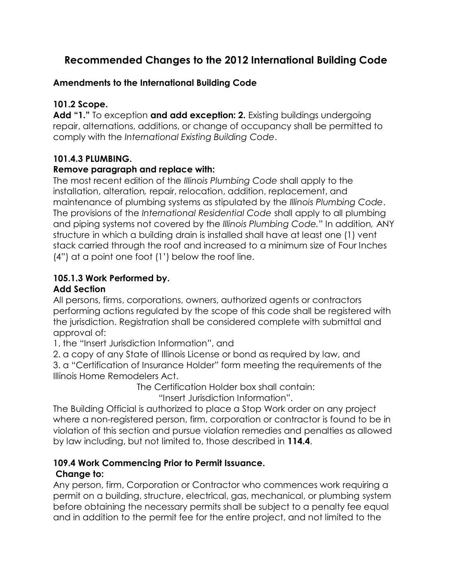# **Recommended Changes to the 2012 International Building Code**

### **Amendments to the International Building Code**

## **101.2 Scope.**

**Add "1."** To exception **and add exception: 2.** Existing buildings undergoing repair, alternations, additions, or change of occupancy shall be permitted to comply with the *International Existing Building Code*.

# **101.4.3 PLUMBING.**

### **Remove paragraph and replace with:**

The most recent edition of the *Illinois Plumbing Code* shall apply to the installation, alteration*,* repair, relocation, addition, replacement, and maintenance of plumbing systems as stipulated by the *Illinois Plumbing Code*. The provisions of the *International Residential Code* shall apply to all plumbing and piping systems not covered by the *Illinois Plumbing Code."* In addition*,* ANY structure in which a building drain is installed shall have at least one (1) vent stack carried through the roof and increased to a minimum size of Four Inches (4") at a point one foot (1') below the roof line.

# **105.1.3 Work Performed by.**

### **Add Section**

All persons, firms, corporations, owners, authorized agents or contractors performing actions regulated by the scope of this code shall be registered with the jurisdiction. Registration shall be considered complete with submittal and approval of:

1. the "Insert Jurisdiction Information", and

2. a copy of any State of Illinois License or bond as required by law, and

3. a "Certification of Insurance Holder" form meeting the requirements of the Illinois Home Remodelers Act.

The Certification Holder box shall contain:

"Insert Jurisdiction Information".

The Building Official is authorized to place a Stop Work order on any project where a non-registered person, firm, corporation or contractor is found to be in violation of this section and pursue violation remedies and penalties as allowed by law including, but not limited to, those described in **114.4**.

#### **109.4 Work Commencing Prior to Permit Issuance. Change to:**

Any person, firm, Corporation or Contractor who commences work requiring a permit on a building, structure, electrical, gas, mechanical, or plumbing system before obtaining the necessary permits shall be subject to a penalty fee equal and in addition to the permit fee for the entire project, and not limited to the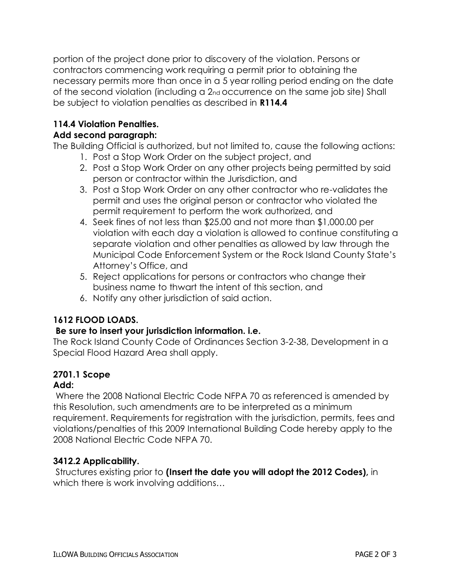portion of the project done prior to discovery of the violation. Persons or contractors commencing work requiring a permit prior to obtaining the necessary permits more than once in a 5 year rolling period ending on the date of the second violation (including a 2nd occurrence on the same job site) Shall be subject to violation penalties as described in **R114.4**

## **114.4 Violation Penalties.**

#### **Add second paragraph:**

The Building Official is authorized, but not limited to, cause the following actions:

- 1. Post a Stop Work Order on the subject project, and
- 2. Post a Stop Work Order on any other projects being permitted by said person or contractor within the Jurisdiction, and
- 3. Post a Stop Work Order on any other contractor who re-validates the permit and uses the original person or contractor who violated the permit requirement to perform the work authorized, and
- 4. Seek fines of not less than \$25.00 and not more than \$1,000.00 per violation with each day a violation is allowed to continue constituting a separate violation and other penalties as allowed by law through the Municipal Code Enforcement System or the Rock Island County State's Attorney's Office, and
- 5. Reject applications for persons or contractors who change their business name to thwart the intent of this section, and
- 6. Notify any other jurisdiction of said action.

### **1612 FLOOD LOADS.**

#### **Be sure to insert your jurisdiction information. i.e.**

The Rock Island County Code of Ordinances Section 3-2-38, Development in a Special Flood Hazard Area shall apply.

# **2701.1 Scope**

#### **Add:**

Where the 2008 National Electric Code NFPA 70 as referenced is amended by this Resolution, such amendments are to be interpreted as a minimum requirement. Requirements for registration with the jurisdiction, permits, fees and violations/penalties of this 2009 International Building Code hereby apply to the 2008 National Electric Code NFPA 70.

#### **3412.2 Applicability.**

Structures existing prior to **(Insert the date you will adopt the 2012 Codes),** in which there is work involving additions…